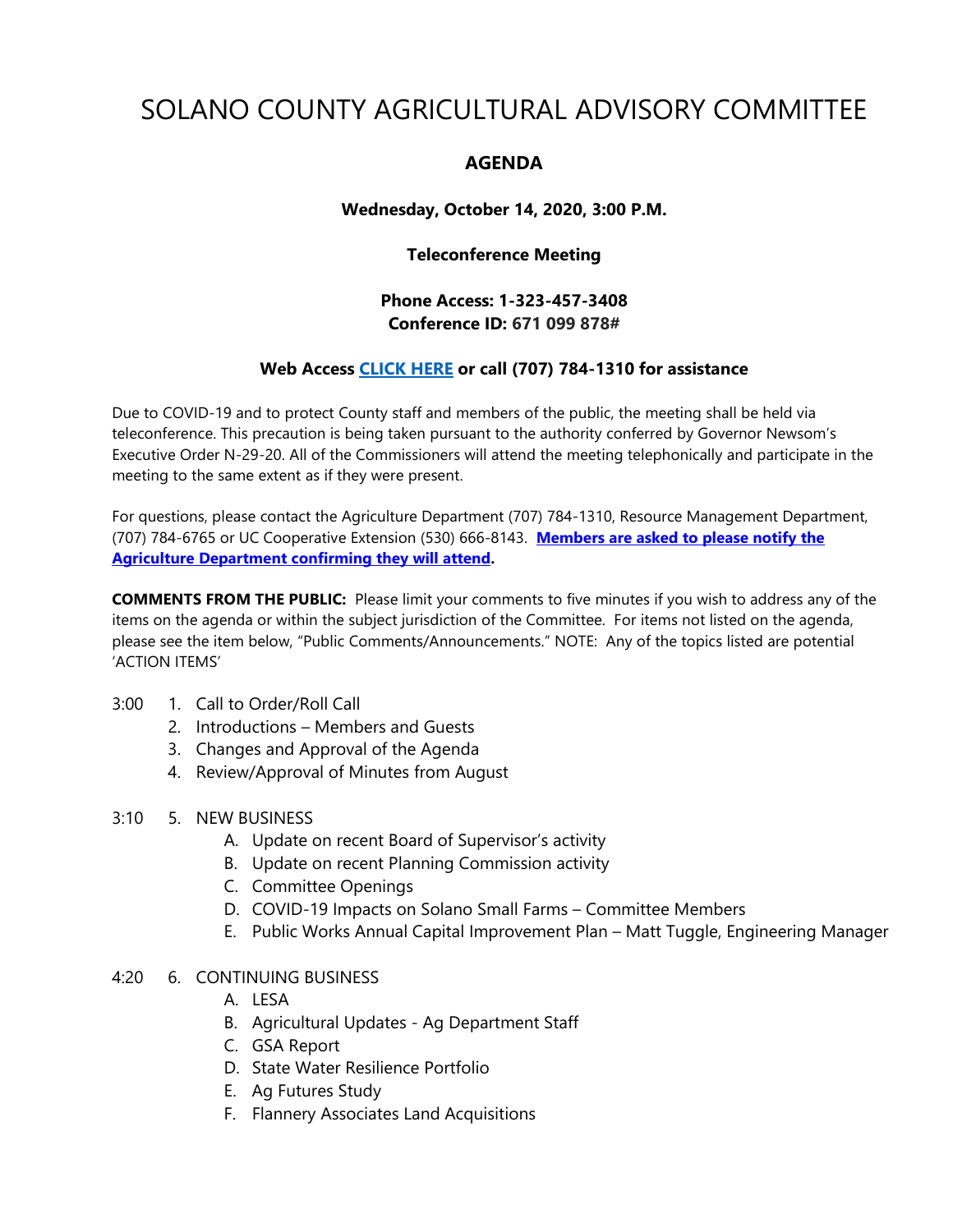# SOLANO COUNTY AGRICULTURAL ADVISORY COMMITTEE

## **AGENDA**

## **Wednesday, October 14, 2020, 3:00 P.M.**

#### **Teleconference Meeting**

## **Phone Access: 1-323-457-3408 Conference ID: 671 099 878#**

## **Web Access [CLICK HERE](https://teams.microsoft.com/dl/launcher/launcher.html?url=%2F_%23%2Fl%2Fmeetup-join%2F19%3Ameeting_MDU0MjZmZWYtZGIxZS00NWUzLTk3YjgtMTBlMjExZjU4ZjQ2%40thread.v2%2F0%3Fcontext%3D%257b%2522Tid%2522%253a%25225e7f20ac-e5f1-4f83-8c3b-ce44b8486421%2522%252c%2522Oid%2522%253a%25229b7e0b10-9feb-4114-92ef-db737a66fd13%2522%257d%26anon%3Dtrue&type=meetup-join&deeplinkId=0e172d7a-7eac-49ec-9eaa-0e871757a708&directDl=true&msLaunch=true&enableMobilePage=true&suppressPrompt=true) or call (707) 784-1310 for assistance**

Due to COVID-19 and to protect County staff and members of the public, the meeting shall be held via teleconference. This precaution is being taken pursuant to the authority conferred by Governor Newsom's Executive Order N-29-20. All of the Commissioners will attend the meeting telephonically and participate in the meeting to the same extent as if they were present.

For questions, please contact the Agriculture Department (707) 784-1310, Resource Management Department, (707) 784-6765 or UC Cooperative Extension (530) 666-8143. **Members are asked to please notify the Agriculture Department confirming they will attend.** 

**COMMENTS FROM THE PUBLIC:** Please limit your comments to five minutes if you wish to address any of the items on the agenda or within the subject jurisdiction of the Committee. For items not listed on the agenda, please see the item below, "Public Comments/Announcements." NOTE: Any of the topics listed are potential 'ACTION ITEMS'

#### 3:00 1. Call to Order/Roll Call

- 2. Introductions Members and Guests
- 3. Changes and Approval of the Agenda
- 4. Review/Approval of Minutes from August
- 3:10 5. NEW BUSINESS
	- A. Update on recent Board of Supervisor's activity
	- B. Update on recent Planning Commission activity
	- C. Committee Openings
	- D. COVID-19 Impacts on Solano Small Farms Committee Members
	- E. Public Works Annual Capital Improvement Plan Matt Tuggle, Engineering Manager

## 4:20 6. CONTINUING BUSINESS

- A. LESA
- B. Agricultural Updates Ag Department Staff
- C. GSA Report
- D. State Water Resilience Portfolio
- E. Ag Futures Study
- F. Flannery Associates Land Acquisitions